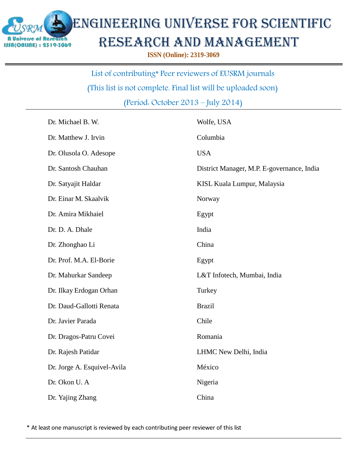

## Engineering Universe for scientific research and management

**ISSN (Online): 2319-3069**

List of contributing\* Peer reviewers of EUSRM journals

(This list is not complete. Final list will be uploaded soon)

(Period: October 2013 – July 2014)

| Dr. Michael B. W.           | Wolfe, USA                                 |
|-----------------------------|--------------------------------------------|
| Dr. Matthew J. Irvin        | Columbia                                   |
| Dr. Olusola O. Adesope      | <b>USA</b>                                 |
| Dr. Santosh Chauhan         | District Manager, M.P. E-governance, India |
| Dr. Satyajit Haldar         | KISL Kuala Lumpur, Malaysia                |
| Dr. Einar M. Skaalvik       | Norway                                     |
| Dr. Amira Mikhaiel          | Egypt                                      |
| Dr. D. A. Dhale             | India                                      |
| Dr. Zhonghao Li             | China                                      |
| Dr. Prof. M.A. El-Borie     | Egypt                                      |
| Dr. Mahurkar Sandeep        | L&T Infotech, Mumbai, India                |
| Dr. Ilkay Erdogan Orhan     | Turkey                                     |
| Dr. Daud-Gallotti Renata    | <b>Brazil</b>                              |
| Dr. Javier Parada           | Chile                                      |
| Dr. Dragos-Patru Covei      | Romania                                    |
| Dr. Rajesh Patidar          | LHMC New Delhi, India                      |
| Dr. Jorge A. Esquivel-Avila | México                                     |
| Dr. Okon U. A               | Nigeria                                    |
| Dr. Yajing Zhang            | China                                      |

\* At least one manuscript is reviewed by each contributing peer reviewer of this list